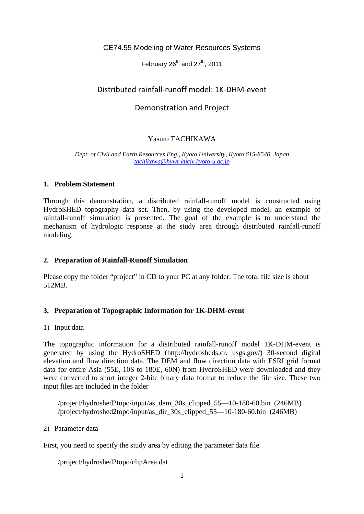# CE74.55 Modeling of Water Resources Systems

February  $26^{th}$  and  $27^{th}$ , 2011

# Distributed rainfall‐runoff model: 1K‐DHM‐event

# Demonstration and Project

# Yasuto TACHIKAWA

#### *Dept. of Civil and Earth Resources Eng., Kyoto University, Kyoto 615-8540, Japan tachikawa@hywr.kuciv.kyoto-u.ac.jp*

### **1. Problem Statement**

Through this demonstration, a distributed rainfall-runoff model is constructed using HydroSHED topography data set. Then, by using the developed model, an example of rainfall-runoff simulation is presented. The goal of the example is to understand the mechanism of hydrologic response at the study area through distributed rainfall-runoff modeling.

# **2. Preparation of Rainfall-Runoff Simulation**

Please copy the folder "project" in CD to your PC at any folder. The total file size is about 512MB.

# **3. Preparation of Topographic Information for 1K-DHM-event**

### 1) Input data

The topographic information for a distributed rainfall-runoff model 1K-DHM-event is generated by using the HydroSHED (http://hydrosheds.cr. usgs.gov/) 30-second digital elevation and flow direction data. The DEM and flow direction data with ESRI grid format data for entire Asia (55E,-10S to 180E, 60N) from HydroSHED were downloaded and they were converted to short integer 2-bite binary data format to reduce the file size. These two input files are included in the folder

/project/hydroshed2topo/input/as\_dem\_30s\_clipped\_55—10-180-60.bin (246MB) /project/hydroshed2topo/input/as\_dir\_30s\_clipped\_55—10-180-60.bin (246MB)

2) Parameter data

First, you need to specify the study area by editing the parameter data file

/project/hydroshed2topo/clipArea.dat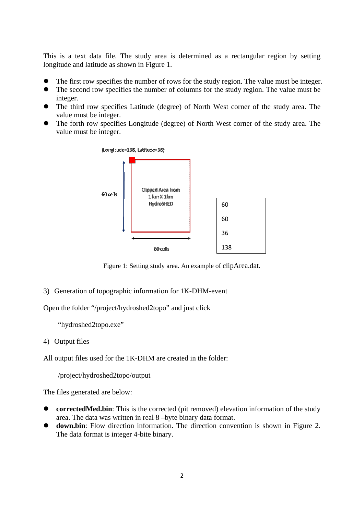This is a text data file. The study area is determined as a rectangular region by setting longitude and latitude as shown in Figure 1.

- The first row specifies the number of rows for the study region. The value must be integer.
- The second row specifies the number of columns for the study region. The value must be integer.
- The third row specifies Latitude (degree) of North West corner of the study area. The value must be integer.
- The forth row specifies Longitude (degree) of North West corner of the study area. The value must be integer.



Figure 1: Setting study area. An example of clipArea.dat.

3) Generation of topographic information for 1K-DHM-event

Open the folder "/project/hydroshed2topo" and just click

"hydroshed2topo.exe"

4) Output files

All output files used for the 1K-DHM are created in the folder:

/project/hydroshed2topo/output

The files generated are below:

- **correctedMed.bin**: This is the corrected (pit removed) elevation information of the study area. The data was written in real 8 –byte binary data format.
- **down.bin**: Flow direction information. The direction convention is shown in Figure 2. The data format is integer 4-bite binary.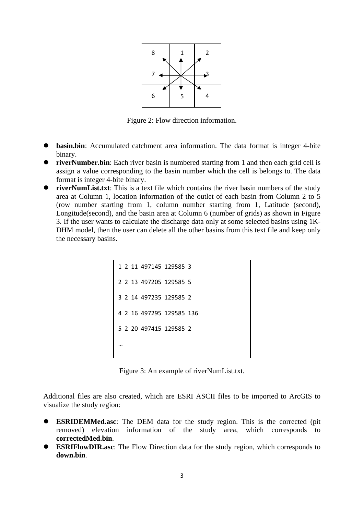

Figure 2: Flow direction information.

- **basin.bin**: Accumulated catchment area information. The data format is integer 4-bite binary.
- **riverNumber.bin**: Each river basin is numbered starting from 1 and then each grid cell is assign a value corresponding to the basin number which the cell is belongs to. The data format is integer 4-bite binary.
- **• riverNumList.txt**: This is a text file which contains the river basin numbers of the study area at Column 1, location information of the outlet of each basin from Column 2 to 5 (row number starting from 1, column number starting from 1, Latitude (second), Longitude(second), and the basin area at Column 6 (number of grids) as shown in Figure 3. If the user wants to calculate the discharge data only at some selected basins using 1K-DHM model, then the user can delete all the other basins from this text file and keep only the necessary basins.

```
1  2  11  497145  129585  3
2  2  13  497205  129585  5
3  2  14  497235  129585  2
4  2  16  497295  129585  136
5  2  20  497415  129585  2
…
```
Figure 3: An example of riverNumList.txt.

Additional files are also created, which are ESRI ASCII files to be imported to ArcGIS to visualize the study region:

- **ESRIDEMMed.asc**: The DEM data for the study region. This is the corrected (pit removed) elevation information of the study area, which corresponds to **correctedMed.bin**.
- **ESRIFlowDIR.asc**: The Flow Direction data for the study region, which corresponds to **down.bin**.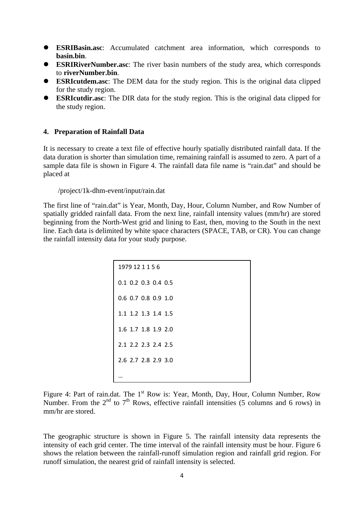- **ESRIBasin.asc**: Accumulated catchment area information, which corresponds to **basin.bin**.
- **ESRIRiverNumber.asc**: The river basin numbers of the study area, which corresponds to **riverNumber.bin**.
- **ESRIcutdem.asc**: The DEM data for the study region. This is the original data clipped for the study region.
- **ESRIcutdir.asc**: The DIR data for the study region. This is the original data clipped for the study region.

#### **4. Preparation of Rainfall Data**

It is necessary to create a text file of effective hourly spatially distributed rainfall data. If the data duration is shorter than simulation time, remaining rainfall is assumed to zero. A part of a sample data file is shown in Figure 4. The rainfall data file name is "rain.dat" and should be placed at

### /project/1k-dhm-event/input/rain.dat

The first line of "rain.dat" is Year, Month, Day, Hour, Column Number, and Row Number of spatially gridded rainfall data. From the next line, rainfall intensity values (mm/hr) are stored beginning from the North-West grid and lining to East, then, moving to the South in the next line. Each data is delimited by white space characters (SPACE, TAB, or CR). You can change the rainfall intensity data for your study purpose.

| 1979 12 1 1 5 6       |
|-----------------------|
| $0.1$ 0.2 0.3 0.4 0.5 |
| $0.6$ 0.7 0.8 0.9 1.0 |
| 1.1 1.2 1.3 1.4 1.5   |
| 1.6 1.7 1.8 1.9 2.0   |
| 2.1 2.2 2.3 2.4 2.5   |
| 2.6 2.7 2.8 2.9 3.0   |
|                       |

Figure 4: Part of rain.dat. The 1<sup>st</sup> Row is: Year, Month, Day, Hour, Column Number, Row Number. From the  $2<sup>nd</sup>$  to  $7<sup>th</sup>$  Rows, effective rainfall intensities (5 columns and 6 rows) in mm/hr are stored.

The geographic structure is shown in Figure 5. The rainfall intensity data represents the intensity of each grid center. The time interval of the rainfall intensity must be hour. Figure 6 shows the relation between the rainfall-runoff simulation region and rainfall grid region. For runoff simulation, the nearest grid of rainfall intensity is selected.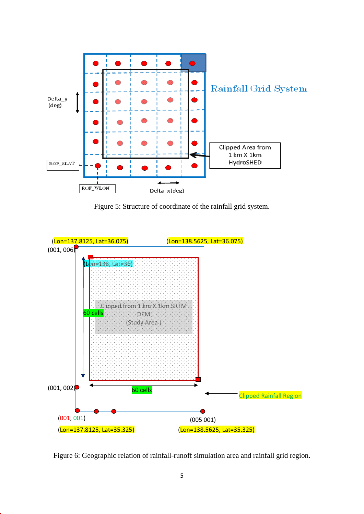

Figure 5: Structure of coordinate of the rainfall grid system.



Figure 6: Geographic relation of rainfall-runoff simulation area and rainfall grid region.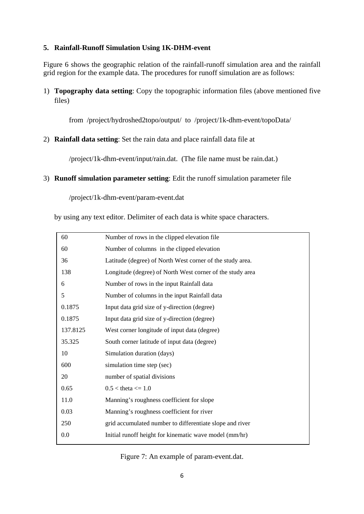# **5. Rainfall-Runoff Simulation Using 1K-DHM-event**

Figure 6 shows the geographic relation of the rainfall-runoff simulation area and the rainfall grid region for the example data. The procedures for runoff simulation are as follows:

1) **Topography data setting**: Copy the topographic information files (above mentioned five files)

from /project/hydroshed2topo/output/ to /project/1k-dhm-event/topoData/

2) **Rainfall data setting**: Set the rain data and place rainfall data file at

/project/1k-dhm-event/input/rain.dat. (The file name must be rain.dat.)

3) **Runoff simulation parameter setting**: Edit the runoff simulation parameter file

/project/1k-dhm-event/param-event.dat

by using any text editor. Delimiter of each data is white space characters.

| 60       | Number of rows in the clipped elevation file              |
|----------|-----------------------------------------------------------|
| 60       | Number of columns in the clipped elevation                |
| 36       | Latitude (degree) of North West corner of the study area. |
| 138      | Longitude (degree) of North West corner of the study area |
| 6        | Number of rows in the input Rainfall data                 |
| 5        | Number of columns in the input Rainfall data              |
| 0.1875   | Input data grid size of y-direction (degree)              |
| 0.1875   | Input data grid size of y-direction (degree)              |
| 137.8125 | West corner longitude of input data (degree)              |
| 35.325   | South corner latitude of input data (degree)              |
| 10       | Simulation duration (days)                                |
| 600      | simulation time step (sec)                                |
| 20       | number of spatial divisions                               |
| 0.65     | $0.5 <$ theta $\leq 1.0$                                  |
| 11.0     | Manning's roughness coefficient for slope                 |
| 0.03     | Manning's roughness coefficient for river                 |
| 250      | grid accumulated number to differentiate slope and river  |
| 0.0      | Initial runoff height for kinematic wave model (mm/hr)    |
|          |                                                           |

Figure 7: An example of param-event.dat.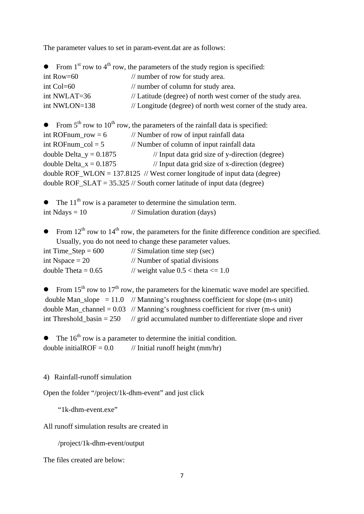The parameter values to set in param-event.dat are as follows:

|               | • From 1 <sup>st</sup> row to 4 <sup>th</sup> row, the parameters of the study region is specified: |
|---------------|-----------------------------------------------------------------------------------------------------|
| int Row= $60$ | // number of row for study area.                                                                    |
| $int Col=60$  | // number of column for study area.                                                                 |
| int NWLAT=36  | // Latitude (degree) of north west corner of the study area.                                        |
| int NWLON=138 | // Longitude (degree) of north west corner of the study area.                                       |

• From  $5<sup>th</sup>$  row to  $10<sup>th</sup>$  row, the parameters of the rainfall data is specified: int ROFnum  $row = 6$  // Number of row of input rainfall data int ROFnum  $col = 5$  // Number of column of input rainfall data double Delta\_y =  $0.1875$  // Input data grid size of y-direction (degree) double Delta\_x =  $0.1875$  // Input data grid size of x-direction (degree) double ROF\_WLON =  $137.8125$  // West corner longitude of input data (degree) double ROF\_SLAT =  $35.325$  // South corner latitude of input data (degree)

The  $11<sup>th</sup>$  row is a parameter to determine the simulation term. int Ndays  $= 10$  // Simulation duration (days)

From  $12<sup>th</sup>$  row to  $14<sup>th</sup>$  row, the parameters for the finite difference condition are specified. Usually, you do not need to change these parameter values.

| int Time_Step = $600$ | $\frac{1}{2}$ Simulation time step (sec) |
|-----------------------|------------------------------------------|
| int Nspace $= 20$     | // Number of spatial divisions           |
| double Theta = $0.65$ | // weight value $0.5 <$ theta $\leq 1.0$ |

```
From 15<sup>th</sup> row to 17<sup>th</sup> row, the parameters for the kinematic wave model are specified.
double Man_slope = 11.0 // Manning's roughness coefficient for slope (m-s unit)
double Man_channel = 0.03 // Manning's roughness coefficient for river (m-s unit)
int Threshold basin = 250 // grid accumulated number to differentiate slope and river
```
The  $16<sup>th</sup>$  row is a parameter to determine the initial condition. double initialROF =  $0.0$  // Initial runoff height (mm/hr)

### 4) Rainfall-runoff simulation

Open the folder "/project/1k-dhm-event" and just click

"1k-dhm-event.exe"

All runoff simulation results are created in

/project/1k-dhm-event/output

The files created are below: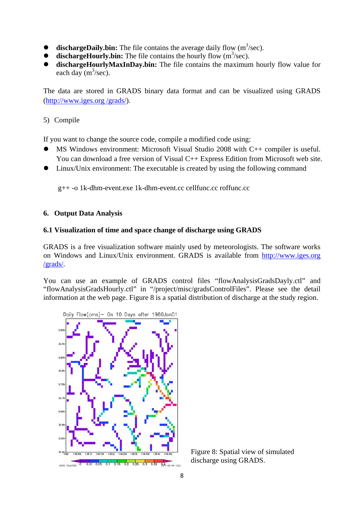- $\bullet$  **dischargeDaily.bin:** The file contains the average daily flow  $(m^3/\text{sec})$ .
- $\bullet$  **dischargeHourly.bin:** The file contains the hourly flow  $(m^3/\text{sec})$ .
- **dischargeHourlyMaxInDay.bin:** The file contains the maximum hourly flow value for each day  $(m^3/sec)$ .

The data are stored in GRADS binary data format and can be visualized using GRADS (http://www.iges.org /grads/).

# 5) Compile

If you want to change the source code, compile a modified code using:

- MS Windows environment: Microsoft Visual Studio 2008 with C++ compiler is useful. You can download a free version of Visual C++ Express Edition from Microsoft web site.
- Linux/Unix environment: The executable is created by using the following command

g++ -o 1k-dhm-event.exe 1k-dhm-event.cc cellfunc.cc roffunc.cc

## **6. Output Data Analysis**

## **6.1 Visualization of time and space change of discharge using GRADS**

GRADS is a free visualization software mainly used by meteorologists. The software works on Windows and Linux/Unix environment. GRADS is available from http://www.iges.org /grads/.

You can use an example of GRADS control files "flowAnalysisGradsDayly.ctl" and "flowAnalysisGradsHourly.ctl" in "/project/misc/gradsControlFiles". Please see the detail information at the web page. Figure 8 is a spatial distribution of discharge at the study region.



 Figure 8: Spatial view of simulated discharge using GRADS.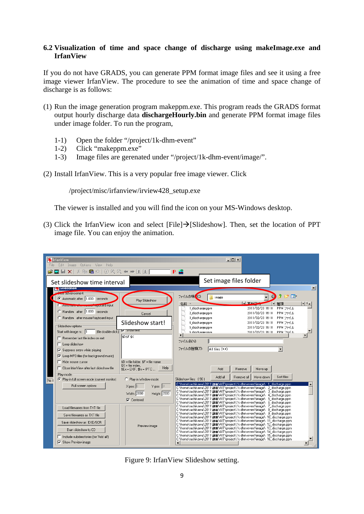# **6.2 Visualization of time and space change of discharge using makeImage.exe and IrfanView**

If you do not have GRADS, you can generate PPM format image files and see it using a free image viewer IrfanView. The procedure to see the animation of time and space change of discharge is as follows:

- (1) Run the image generation program makeppm.exe. This program reads the GRADS format output hourly discharge data **dischargeHourly.bin** and generate PPM format image files under image folder. To run the program,
	- 1-1) Open the folder "/project/1k-dhm-event"
	- 1-2) Click "makeppm.exe"
	- 1-3) Image files are gerenated under "/project/1k-dhm-event/image/".
- (2) Install IrfanView. This is a very popular free image viewer. Click

/project/misc/irfanview/irview428\_setup.exe

The viewer is installed and you will find the icon on your MS-Windows desktop.

(3) Click the IrfanView icon and select [File] $\rightarrow$ [Slideshow]. Then, set the location of PPT image file. You can enjoy the animation.

|      | <b>W</b> Irfan View<br>File Edit Image Options View Help<br>- X 42 호스<br>6¤∏xI                                                                                                                                                                                                                                                                                                                                                            | $0$ Q Q $\leftarrow$ $\rightarrow$ $\Pi$ $\Pi$                                                                                                                                                                    | $  D  \times  $<br>$P = 2$                                                                                                                                                                                                                                                                                                                                                                                                                                                                                                                                                                                                                                                                                                                                                                            |                         |
|------|-------------------------------------------------------------------------------------------------------------------------------------------------------------------------------------------------------------------------------------------------------------------------------------------------------------------------------------------------------------------------------------------------------------------------------------------|-------------------------------------------------------------------------------------------------------------------------------------------------------------------------------------------------------------------|-------------------------------------------------------------------------------------------------------------------------------------------------------------------------------------------------------------------------------------------------------------------------------------------------------------------------------------------------------------------------------------------------------------------------------------------------------------------------------------------------------------------------------------------------------------------------------------------------------------------------------------------------------------------------------------------------------------------------------------------------------------------------------------------------------|-------------------------|
| No 1 | Set slideshow time interval<br><b>S</b> SONGESDOW<br><b>After advancement</b><br>C Automatic after 1.000 seconds<br>Play Slideshow<br><b>weaver keyboard input</b><br><b>CALIFORNIA CALIF</b><br>C Random after 1.000 seconds<br>Cancel<br>C Random after mouse/keyboard input<br>Slideshow start!<br>Slideshow options<br>(file double-click) IV Show text:<br>Start with image nr.: 1<br>\$D\$F \$X<br>Remember last file index on exit |                                                                                                                                                                                                                   | Set image files folder<br>$\mathbb{R}^n$<br>ファイルの場 (I):<br>$\Theta$<br>image<br>IV BALLA<br>種類<br>名前<br>1 discharge.ppm<br>2011/02/23 16:18<br>PPM ファイル<br>2 discharge.ppm<br>2011/02/23 16:18<br>PPM ファイル<br>2011/02/23 16:18 PPM ファイル<br>3 discharge.ppm<br>2011/02/23 16:18 PPM ファイル<br>4 discharge.ppm<br>2011/02/23 16:18<br>PPM ファイル<br>5 discharge ppm<br>2011/02/23 16:18 PPM ファイル<br>fi discharge nnm                                                                                                                                                                                                                                                                                                                                                                                        | $\vert x \vert$<br>▿▏┥┻ |
|      | Loop slideshow<br>$\nabla$ Suppress errors while playing<br>○ Loop MP3 files (for background music)<br>$\Box$ Hide mouse cursor<br>□ Close IrfanView after last slideshow file<br>Play mode:<br>C Play in full screen mode (current monitor)<br>Full screen options                                                                                                                                                                       | $D = file folder$ , $F = file name$<br>$\frac{4}{3}$ = file index.<br>Help<br>$E_x = EXIF$ , $S_x = IPTC$<br>C Play in Window mode:<br>$X-pos: 0$<br>$Y-pos:$<br>Width: 2000<br>Height: 2000<br>$\nabla$ Centered | ファイル名(N):<br>ファイルの種類(T):<br>All files (**)<br>Add<br>Remove<br>Move up<br>Sort files<br>Add all<br>Move down<br>Remove all<br>Slideshow files: [96]<br>  C:\home\tachikawa\2011\講義\AlT\project\1k-dhm-event\image\=1_discharge.ppm<br>C:\home\tachikawa\2011\講義\AlT\project\1k-dhm-event\image\ 2 discharge.ppm<br>C:\home\tachikawa\2011\講義\AlT\project\1k-dhm-event\image\ 3_discharge.ppm<br>C:\home\tachikawa\2011\講義\AlT\project\1k-dhm-event\image\ 4_discharge.ppm<br>C:\home\tachikawa\2011\講義\AlT\project\1k-dhm-event\image\ 5 discharge.ppm<br>C:\home\tachikawa\2011\講義\AIT\project\1k-dhm-event\image\ 6 discharge.ppm                                                                                                                                                                   |                         |
|      | Load filenames from TXT file<br>Save filenames as TXT file<br>Save slideshow as EXE/SCR<br>Burn slideshow to CD<br>□ Include subdirectories (for 'Add all')<br><b>▽</b> Show Preview image                                                                                                                                                                                                                                                | Preview image                                                                                                                                                                                                     | C:\home\tachikawa\2011\講義\AlT\project\1k-dhm-event\image\ 7_discharge.ppm<br>C:\home\tachikawa\2011\講義\AlT\project\1k-dhm-event\image\ 8 discharge.ppm<br>C:\home\tachikawa\2011\講義\AlT\project\1k-dhm-event\image\ 9 discharge.ppm<br>C:\home\tachikawa\2011\講義\AlT\project\1k-dhm-event\image\_10_discharge.ppm<br>C:\home\tachikawa\2011\講義\AlT\project\1k-dhm-event\image\ 11 discharge.ppm<br>C:\home\tachikawa\2011\講義\AlT\project\1k-dhm-event\image\ 12 discharge.ppm<br>C:\home\tachikawa\2011\講義\AlT\project\1k-dhm-event\image\ 13 discharge.ppm<br>C:\home\tachikawa\2011\講義\AlT\project\1k-dhm-event\image\_14_discharge.ppm<br>C:\home\tachikawa\2011\講義\AlT\project\1k-dhm-event\image\ 15 discharge.ppm<br>C:\home\tachikawa\2011\講義\AlT\project\1k-dhm-event\image\ 16 discharge.ppm |                         |

Figure 9: IrfanView Slideshow setting.